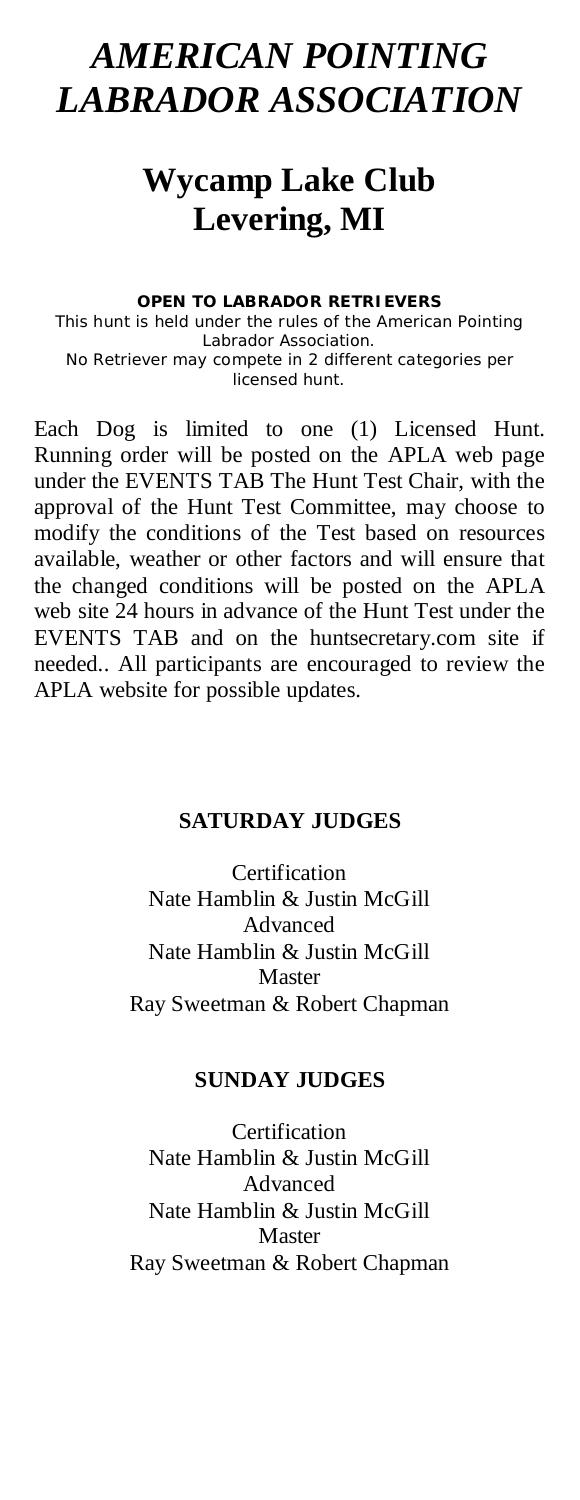# *AMERICAN POINTING LABRADOR ASSOCIATION*

## **Wycamp Lake Club Levering, MI**

**OPEN TO LABRADOR RETRIEVERS** 

This hunt is held under the rules of the American Pointing Labrador Association. No Retriever may compete in 2 different categories per licensed hunt.

Each Dog is limited to one (1) Licensed Hunt. Running order will be posted on the APLA web page under the EVENTS TAB The Hunt Test Chair, with the approval of the Hunt Test Committee, may choose to modify the conditions of the Test based on resources available, weather or other factors and will ensure that the changed conditions will be posted on the APLA web site 24 hours in advance of the Hunt Test under the EVENTS TAB and on the huntsecretary.com site if needed.. All participants are encouraged to review the APLA website for possible updates.

## **SATURDAY JUDGES**

Certification Nate Hamblin & Justin McGill Advanced Nate Hamblin & Justin McGill Master Ray Sweetman & Robert Chapman

## **SUNDAY JUDGES**

Certification Nate Hamblin & Justin McGill Advanced Nate Hamblin & Justin McGill Master Ray Sweetman & Robert Chapman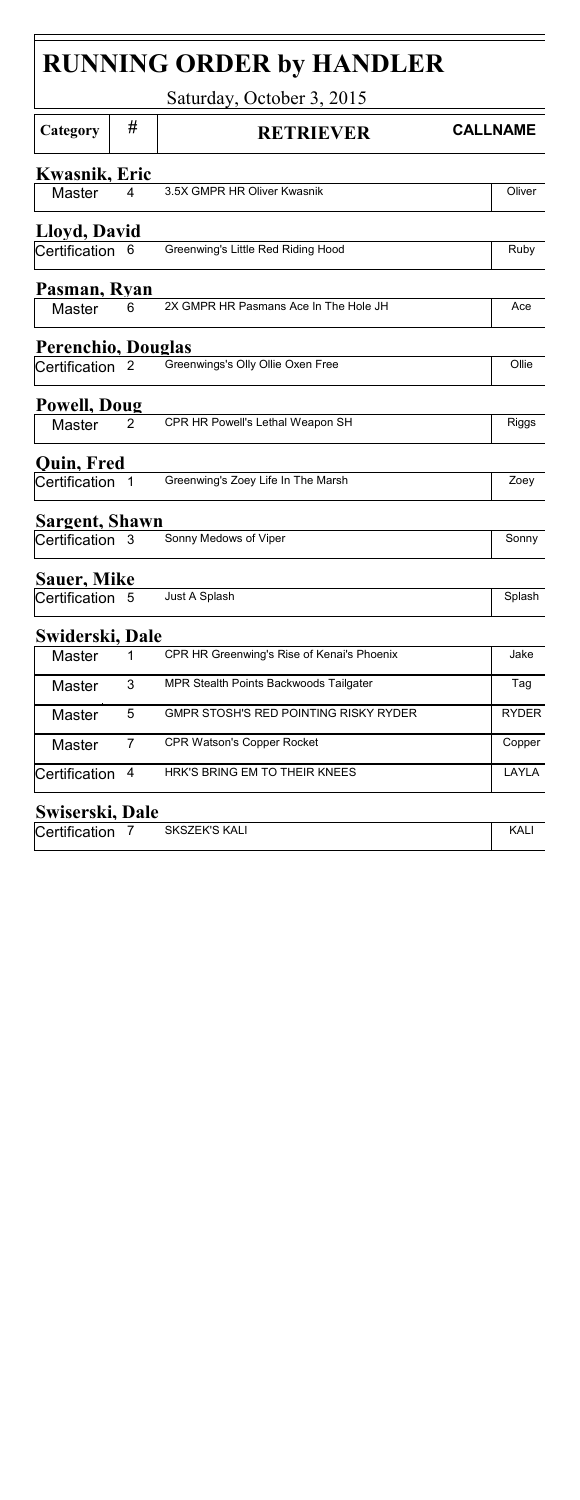|                    |                | Saturday, October 3, 2015                  |                 |
|--------------------|----------------|--------------------------------------------|-----------------|
| Category           | #              | <b>RETRIEVER</b>                           | <b>CALLNAME</b> |
| Kwasnik, Eric      |                |                                            |                 |
| Master             | 4              | 3.5X GMPR HR Oliver Kwasnik                | Oliver          |
| Llovd, David       |                |                                            |                 |
| Certification      | 6              | Greenwing's Little Red Riding Hood         | Ruby            |
| Pasman, Ryan       |                |                                            |                 |
| Master             | 6              | 2X GMPR HR Pasmans Ace In The Hole JH      | Ace             |
| Perenchio, Douglas |                |                                            |                 |
| Certification      | 2              | Greenwings's Olly Ollie Oxen Free          | Ollie           |
| Powell, Doug       |                |                                            |                 |
| Master             | 2              | CPR HR Powell's Lethal Weapon SH           | Riggs           |
| <b>Ouin, Fred</b>  |                |                                            |                 |
| Certification      | $\overline{1}$ | Greenwing's Zoey Life In The Marsh         | Zoey            |
| Sargent, Shawn     |                |                                            |                 |
| Certification      | 3              | Sonny Medows of Viper                      | Sonny           |
| <b>Sauer, Mike</b> |                |                                            |                 |
| Certification      | - 5            | Just A Splash                              | Splash          |
| Swiderski, Dale    |                |                                            |                 |
| Master             | 1              | CPR HR Greenwing's Rise of Kenai's Phoenix | Jake            |
| Master             | 3              | MPR Stealth Points Backwoods Tailgater     | Tag             |
| Master             | 5              | GMPR STOSH'S RED POINTING RISKY RYDER      | <b>RYDER</b>    |
| Master             | 7              | CPR Watson's Copper Rocket                 | Copper          |
|                    | 4              | HRK'S BRING EM TO THEIR KNEES              | LAYLA           |
| Certification      |                |                                            |                 |
| Swiserski, Dale    |                |                                            |                 |

p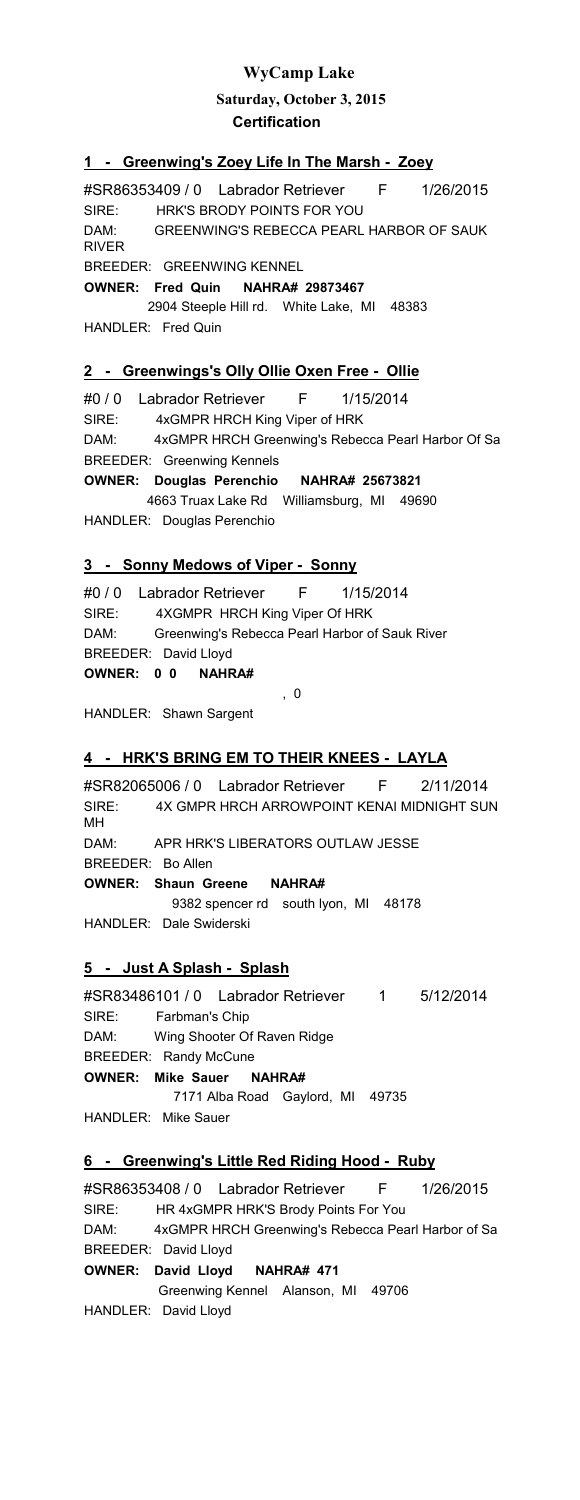**Saturday, October 3, 2015 Certification**

#### **1 - Greenwing's Zoey Life In The Marsh - Zoey**

#SR86353409 / 0 Labrador Retriever F 1/26/2015 SIRE: HRK'S BRODY POINTS FOR YOU DAM: GREENWING'S REBECCA PEARL HARBOR OF SAUK RIVER **OWNER: Fred Quin NAHRA# 29873467** 2904 Steeple Hill rd. White Lake, MI 48383 HANDLER: Fred Quin BREEDER: GREENWING KENNEL

#### **2 - Greenwings's Olly Ollie Oxen Free - Ollie**

#0 / 0 Labrador Retriever F 1/15/2014 SIRE: 4xGMPR HRCH King Viper of HRK DAM: 4xGMPR HRCH Greenwing's Rebecca Pearl Harbor Of Sa **OWNER: Douglas Perenchio NAHRA# 25673821** 4663 Truax Lake Rd Williamsburg, MI 49690 HANDLER: Douglas Perenchio BREEDER: Greenwing Kennels

#### **3 - Sonny Medows of Viper - Sonny**

#0 / 0 Labrador Retriever F 1/15/2014 SIRE: 4XGMPR HRCH King Viper Of HRK DAM: Greenwing's Rebecca Pearl Harbor of Sauk River **OWNER: 0 0 NAHRA#**  , 0 BREEDER: David Lloyd

HANDLER: Shawn Sargent

#### **HRK'S BRING EM TO THEIR KNEES - LAYLA**

#SR82065006 / 0 Labrador Retriever F 2/11/2014 SIRE: 4X GMPR HRCH ARROWPOINT KENAI MIDNIGHT SUN MH DAM: APR HRK'S LIBERATORS OUTLAW JESSE **OWNER: Shaun Greene NAHRA#**  9382 spencer rd south lyon, MI 48178 HANDLER: Dale Swiderski BREEDER: Bo Allen

#### **5 - Just A Splash - Splash**

#SR83486101 / 0 Labrador Retriever 1 5/12/2014 SIRE: Farbman's Chip DAM: Wing Shooter Of Raven Ridge **OWNER: Mike Sauer NAHRA#**  7171 Alba Road Gaylord, MI 49735 HANDLER: Mike Sauer BREEDER: Randy McCune

#### **6 - Greenwing's Little Red Riding Hood - Ruby**

#SR86353408 / 0 Labrador Retriever F 1/26/2015 SIRE: HR 4xGMPR HRK'S Brody Points For You DAM: 4xGMPR HRCH Greenwing's Rebecca Pearl Harbor of Sa **OWNER: David Lloyd NAHRA# 471** Greenwing Kennel Alanson, MI 49706 HANDLER: David Lloyd BREEDER: David Lloyd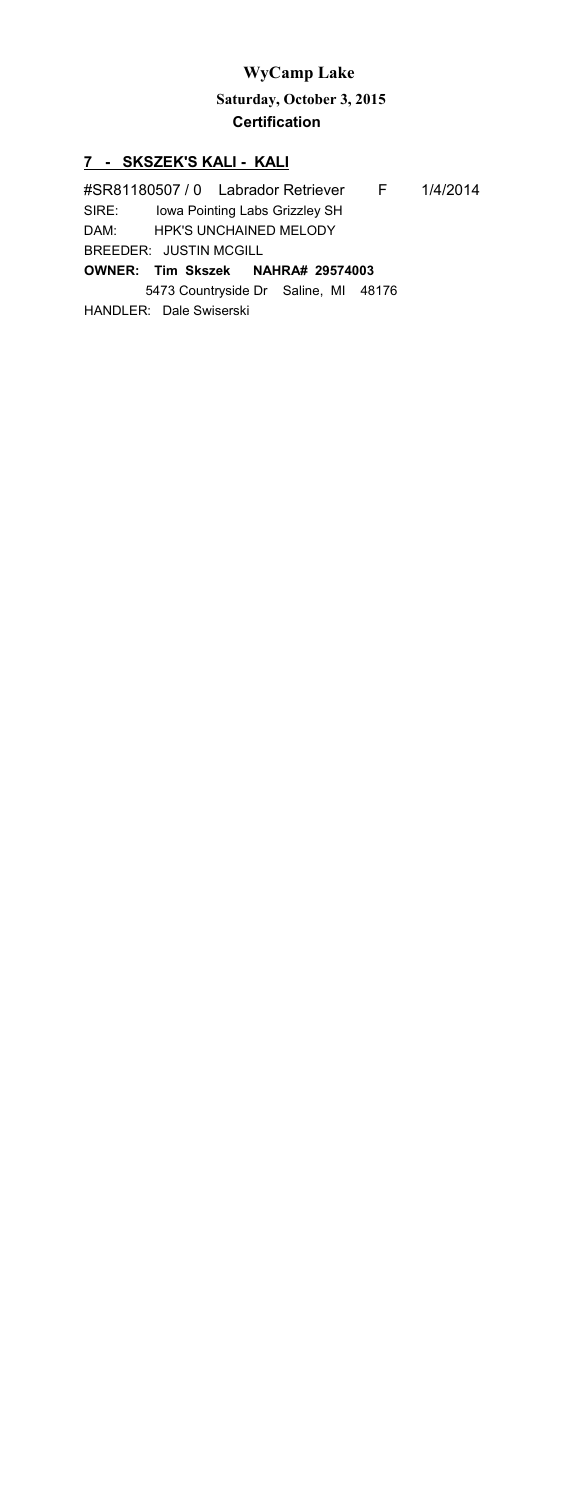**Saturday, October 3, 2015 Certification**

#### **7 - SKSZEK'S KALI - KALI**

#SR81180507 / 0 Labrador Retriever F 1/4/2014 SIRE: Iowa Pointing Labs Grizzley SH DAM: HPK'S UNCHAINED MELODY **OWNER: Tim Skszek NAHRA# 29574003** 5473 Countryside Dr Saline, MI 48176 HANDLER: Dale Swiserski BREEDER: JUSTIN MCGILL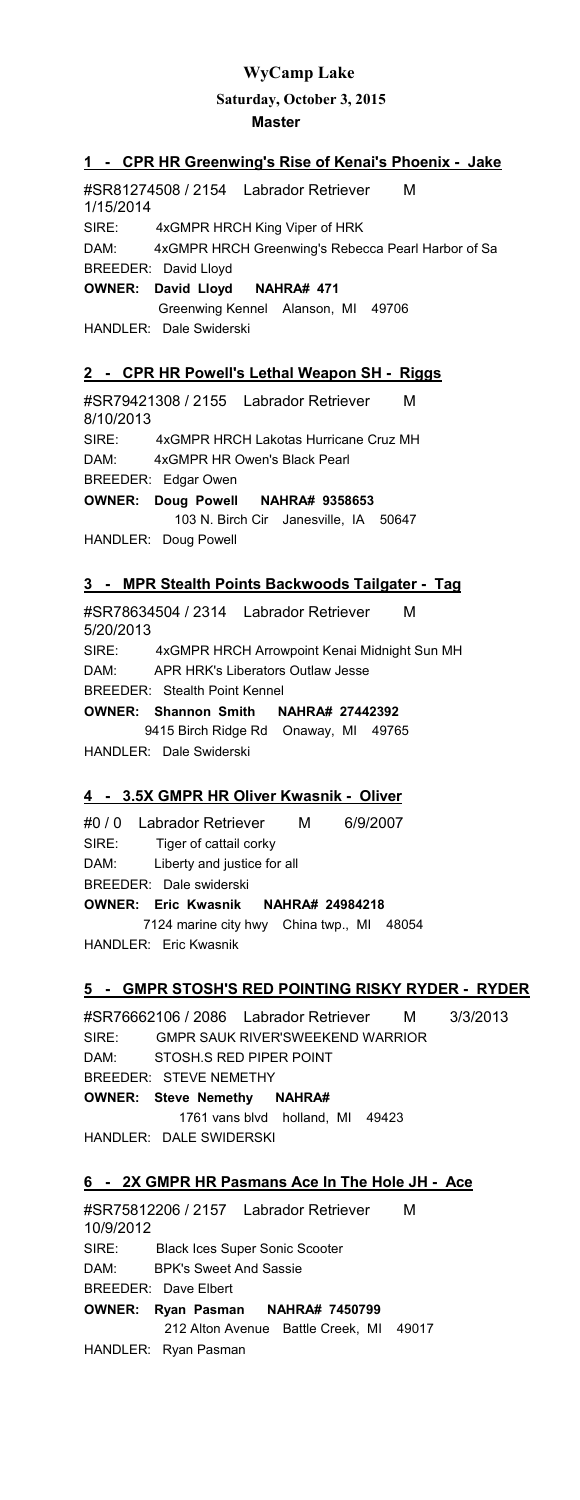**Saturday, October 3, 2015**

**Master**

#### **1 - CPR HR Greenwing's Rise of Kenai's Phoenix - Jake**

#SR81274508 / 2154 Labrador Retriever M 1/15/2014 SIRE: 4xGMPR HRCH King Viper of HRK DAM: 4xGMPR HRCH Greenwing's Rebecca Pearl Harbor of Sa **OWNER: David Lloyd NAHRA# 471** Greenwing Kennel Alanson, MI 49706 HANDLER: Dale Swiderski BREEDER: David Lloyd

#### **2 - CPR HR Powell's Lethal Weapon SH - Riggs**

#SR79421308 / 2155 Labrador Retriever M 8/10/2013 SIRE: 4xGMPR HRCH Lakotas Hurricane Cruz MH DAM: 4xGMPR HR Owen's Black Pearl **OWNER: Doug Powell NAHRA# 9358653** 103 N. Birch Cir Janesville, IA 50647 HANDLER: Doug Powell BREEDER: Edgar Owen

#### **3 - MPR Stealth Points Backwoods Tailgater - Tag**

#SR78634504 / 2314 Labrador Retriever M 5/20/2013 SIRE: 4xGMPR HRCH Arrowpoint Kenai Midnight Sun MH DAM: APR HRK's Liberators Outlaw Jesse **OWNER: Shannon Smith NAHRA# 27442392** 9415 Birch Ridge Rd Onaway, MI 49765 HANDLER: Dale Swiderski BREEDER: Stealth Point Kennel

#### **4 - 3.5X GMPR HR Oliver Kwasnik - Oliver**

#0 / 0 Labrador Retriever M 6/9/2007 SIRE: Tiger of cattail corky DAM: Liberty and justice for all **OWNER: Eric Kwasnik NAHRA# 24984218** 7124 marine city hwy China twp., MI 48054 HANDLER: Eric Kwasnik BREEDER: Dale swiderski

#### **5 - GMPR STOSH'S RED POINTING RISKY RYDER - RYDER**

#SR76662106 / 2086 Labrador Retriever M 3/3/2013 SIRE: GMPR SAUK RIVER'SWEEKEND WARRIOR DAM: STOSH.S RED PIPER POINT **OWNER: Steve Nemethy NAHRA#**  BREEDER: STEVE NEMETHY

 1761 vans blvd holland, MI 49423 HANDLER: DALE SWIDERSKI

#### **6 - 2X GMPR HR Pasmans Ace In The Hole JH - Ace**

#SR75812206 / 2157 Labrador Retriever M 10/9/2012 SIRE: Black Ices Super Sonic Scooter DAM: BPK's Sweet And Sassie **OWNER: Ryan Pasman NAHRA# 7450799** 212 Alton Avenue Battle Creek, MI 49017 HANDLER: Ryan Pasman BREEDER: Dave Elbert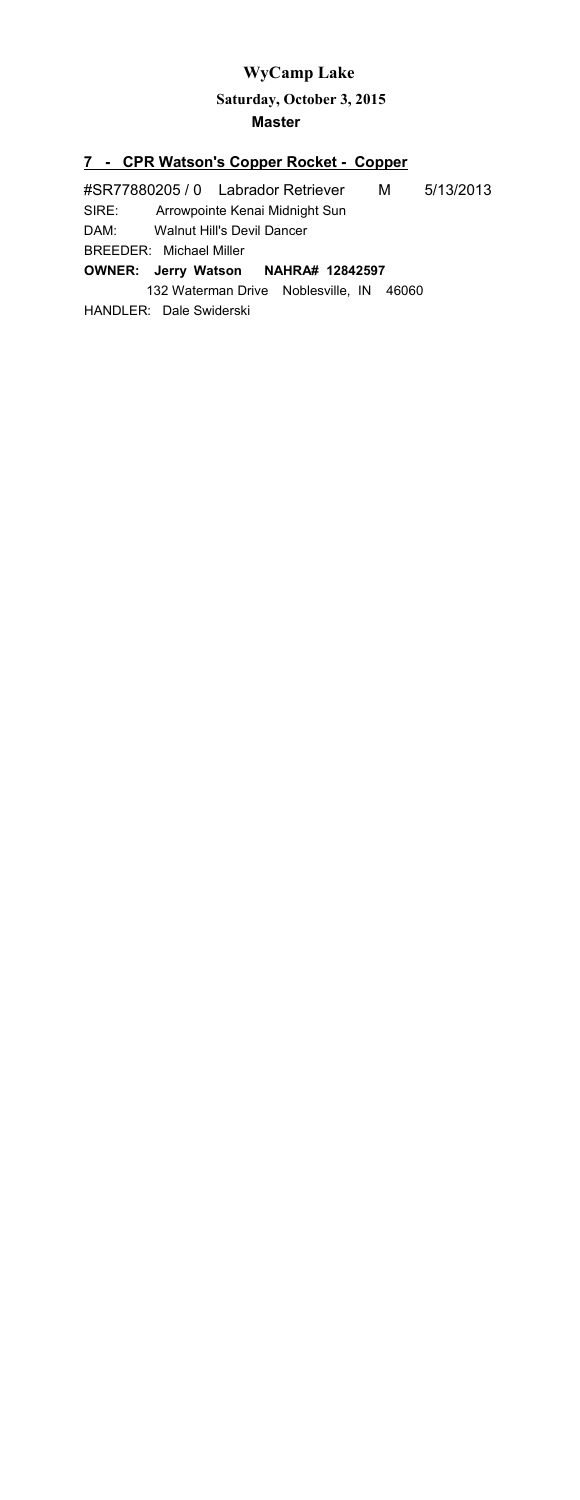**Saturday, October 3, 2015**

**Master**

#### **7 - CPR Watson's Copper Rocket - Copper**

#SR77880205 / 0 Labrador Retriever M 5/13/2013 SIRE: Arrowpointe Kenai Midnight Sun DAM: Walnut Hill's Devil Dancer **OWNER: Jerry Watson NAHRA# 12842597** 132 Waterman Drive Noblesville, IN 46060 HANDLER: Dale Swiderski BREEDER: Michael Miller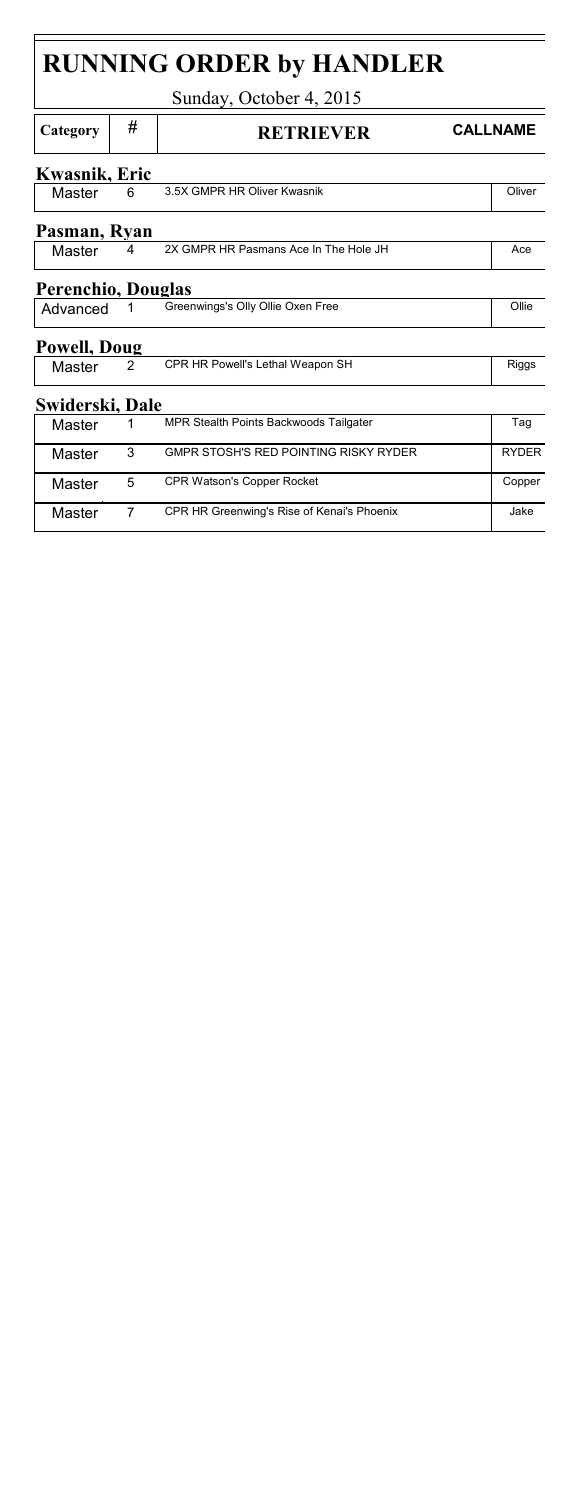| <b>RUNNING ORDER by HANDLER</b> |                                            |                                            |                 |  |  |  |  |  |  |  |  |
|---------------------------------|--------------------------------------------|--------------------------------------------|-----------------|--|--|--|--|--|--|--|--|
| Sunday, October 4, 2015         |                                            |                                            |                 |  |  |  |  |  |  |  |  |
| Category                        | #                                          | <b>RETRIEVER</b>                           | <b>CALLNAME</b> |  |  |  |  |  |  |  |  |
| Kwasnik, Eric                   |                                            |                                            |                 |  |  |  |  |  |  |  |  |
| Master                          | 6                                          | 3.5X GMPR HR Oliver Kwasnik                | Oliver          |  |  |  |  |  |  |  |  |
| Pasman, Ryan                    |                                            |                                            |                 |  |  |  |  |  |  |  |  |
| Master                          | 4                                          | 2X GMPR HR Pasmans Ace In The Hole JH      | Ace             |  |  |  |  |  |  |  |  |
| Perenchio, Douglas              |                                            |                                            |                 |  |  |  |  |  |  |  |  |
| Advanced                        | 1                                          | Greenwings's Olly Ollie Oxen Free          | Ollie           |  |  |  |  |  |  |  |  |
| Powell, Doug                    |                                            |                                            |                 |  |  |  |  |  |  |  |  |
| Master                          | 2                                          | CPR HR Powell's Lethal Weapon SH           | <b>Riggs</b>    |  |  |  |  |  |  |  |  |
| Swiderski. Dale                 |                                            |                                            |                 |  |  |  |  |  |  |  |  |
| Master                          | 1                                          | MPR Stealth Points Backwoods Tailgater     | Taq             |  |  |  |  |  |  |  |  |
| Master                          | GMPR STOSH'S RED POINTING RISKY RYDER<br>3 |                                            | <b>RYDER</b>    |  |  |  |  |  |  |  |  |
| Master                          | CPR Watson's Copper Rocket<br>5            |                                            | Copper          |  |  |  |  |  |  |  |  |
| Master                          | 7                                          | CPR HR Greenwing's Rise of Kenai's Phoenix | Jake            |  |  |  |  |  |  |  |  |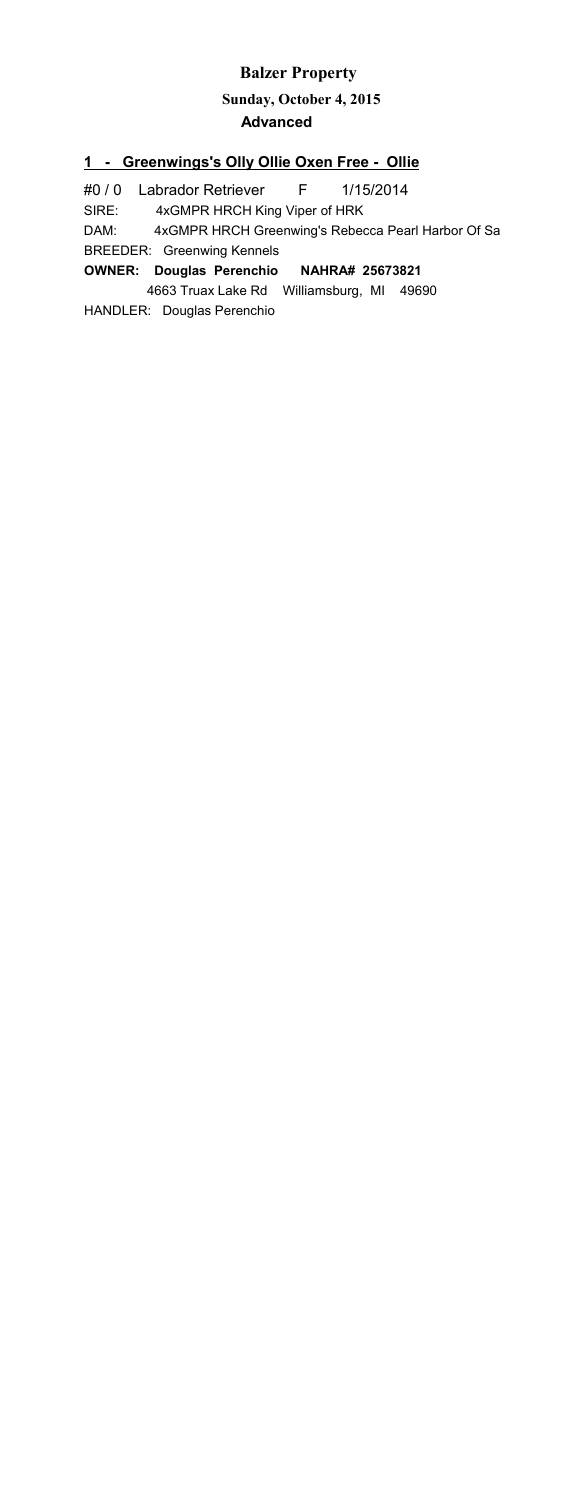#### **Balzer Property**

**Sunday, October 4, 2015**

**Advanced**

#### **1 - Greenwings's Olly Ollie Oxen Free - Ollie**

#0 / 0 Labrador Retriever F 1/15/2014 SIRE: 4xGMPR HRCH King Viper of HRK DAM: 4xGMPR HRCH Greenwing's Rebecca Pearl Harbor Of Sa **OWNER: Douglas Perenchio NAHRA# 25673821** 4663 Truax Lake Rd Williamsburg, MI 49690 BREEDER: Greenwing Kennels

HANDLER: Douglas Perenchio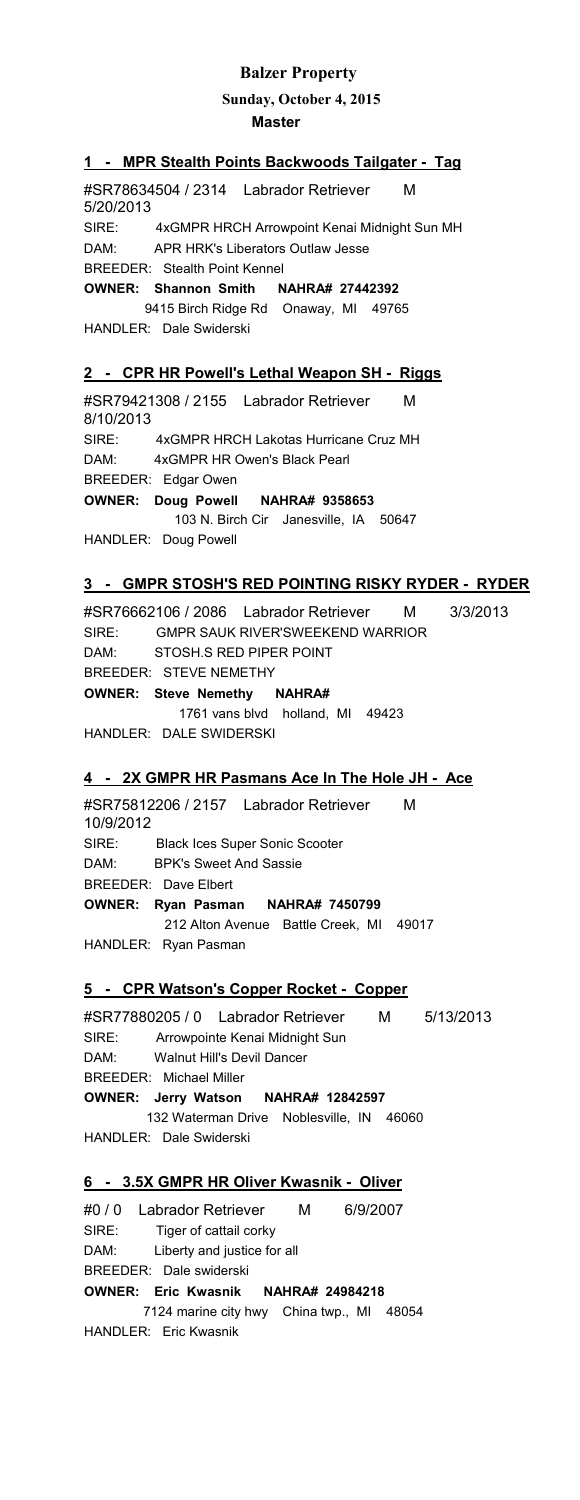#### **Balzer Property**

#### **Sunday, October 4, 2015**

#### **Master**

#### **1 - MPR Stealth Points Backwoods Tailgater - Tag**

#SR78634504 / 2314 Labrador Retriever M 5/20/2013 SIRE: 4xGMPR HRCH Arrowpoint Kenai Midnight Sun MH DAM: APR HRK's Liberators Outlaw Jesse **OWNER: Shannon Smith NAHRA# 27442392** BREEDER: Stealth Point Kennel

 9415 Birch Ridge Rd Onaway, MI 49765 HANDLER: Dale Swiderski

#### **2 - CPR HR Powell's Lethal Weapon SH - Riggs**

#SR79421308 / 2155 Labrador Retriever M 8/10/2013 SIRE: 4xGMPR HRCH Lakotas Hurricane Cruz MH DAM: 4xGMPR HR Owen's Black Pearl **OWNER: Doug Powell NAHRA# 9358653** 103 N. Birch Cir Janesville, IA 50647 HANDLER: Doug Powell BREEDER: Edgar Owen

#### **3 - GMPR STOSH'S RED POINTING RISKY RYDER - RYDER**

#SR76662106 / 2086 Labrador Retriever M 3/3/2013 SIRE: GMPR SAUK RIVER'SWEEKEND WARRIOR DAM: STOSH.S RED PIPER POINT **OWNER: Steve Nemethy NAHRA#**  1761 vans blvd holland, MI 49423 HANDLER: DALE SWIDERSKI BREEDER: STEVE NEMETHY

#### **4 - 2X GMPR HR Pasmans Ace In The Hole JH - Ace**

#SR75812206 / 2157 Labrador Retriever M 10/9/2012 SIRE: Black Ices Super Sonic Scooter DAM: BPK's Sweet And Sassie **OWNER: Ryan Pasman NAHRA# 7450799** 212 Alton Avenue Battle Creek, MI 49017 HANDLER: Ryan Pasman BREEDER: Dave Elbert

#### **5 - CPR Watson's Copper Rocket - Copper**

#SR77880205 / 0 Labrador Retriever M 5/13/2013 SIRE: Arrowpointe Kenai Midnight Sun DAM: Walnut Hill's Devil Dancer **OWNER: Jerry Watson NAHRA# 12842597** 132 Waterman Drive Noblesville, IN 46060 BREEDER: Michael Miller

HANDLER: Dale Swiderski

#### **6 - 3.5X GMPR HR Oliver Kwasnik - Oliver**

#0 / 0 Labrador Retriever M 6/9/2007 SIRE: Tiger of cattail corky DAM: Liberty and justice for all **OWNER: Eric Kwasnik NAHRA# 24984218** 7124 marine city hwy China twp., MI 48054 HANDLER: Eric Kwasnik BREEDER: Dale swiderski